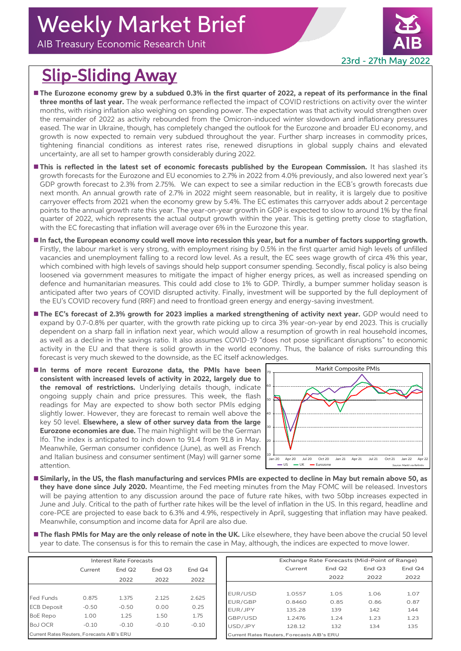AIB Treasury Economic Research Unit



## Slip-Sliding Away

- The Eurozone economy grew by a subdued 0.3% in the first quarter of 2022, a repeat of its performance in the final **three months of last year.** The weak performance reflected the impact of COVID restrictions on activity over the winter months, with rising inflation also weighing on spending power. The expectation was that activity would strengthen over the remainder of 2022 as activity rebounded from the Omicron-induced winter slowdown and inflationary pressures eased. The war in Ukraine, though, has completely changed the outlook for the Eurozone and broader EU economy, and growth is now expected to remain very subdued throughout the year. Further sharp increases in commodity prices, tightening financial conditions as interest rates rise, renewed disruptions in global supply chains and elevated uncertainty, are all set to hamper growth considerably during 2022.
- **This is reflected in the latest set of economic forecasts published by the European Commission.** It has slashed its growth forecasts for the Eurozone and EU economies to 2.7% in 2022 from 4.0% previously, and also lowered next year's GDP growth forecast to 2.3% from 2.75%. We can expect to see a similar reduction in the ECB's growth forecasts due next month. An annual growth rate of 2.7% in 2022 might seem reasonable, but in reality, it is largely due to positive carryover effects from 2021 when the economy grew by 5.4%. The EC estimates this carryover adds about 2 percentage points to the annual growth rate this year. The year-on-year growth in GDP is expected to slow to around 1% by the final quarter of 2022, which represents the actual output growth within the year. This is getting pretty close to stagflation, with the EC forecasting that inflation will average over 6% in the Eurozone this year.
- **In fact, the European economy could well move into recession this year, but for a number of factors supporting growth.**  Firstly, the labour market is very strong, with employment rising by 0.5% in the first quarter amid high levels of unfilled vacancies and unemployment falling to a record low level. As a result, the EC sees wage growth of circa 4% this year, which combined with high levels of savings should help support consumer spending. Secondly, fiscal policy is also being loosened via government measures to mitigate the impact of higher energy prices, as well as increased spending on defence and humanitarian measures. This could add close to 1% to GDP. Thirdly, a bumper summer holiday season is anticipated after two years of COVID disrupted activity. Finally, investment will be supported by the full deployment of the EU's COVID recovery fund (RRF) and need to frontload green energy and energy-saving investment.
- **The EC's forecast of 2.3% growth for 2023 implies a marked strengthening of activity next year.** GDP would need to expand by 0.7-0.8% per quarter, with the growth rate picking up to circa 3% year-on-year by end 2023. This is crucially dependent on a sharp fall in inflation next year, which would allow a resumption of growth in real household incomes, as well as a decline in the savings ratio. It also assumes COVID-19 "does not pose significant disruptions" to economic activity in the EU and that there is solid growth in the world economy. Thus, the balance of risks surrounding this forecast is very much skewed to the downside, as the EC itself acknowledges.
- **In terms of more recent Eurozone data, the PMIs have been consistent with increased levels of activity in 2022, largely due to the removal of restrictions.** Underlying details though, indicate ongoing supply chain and price pressures. This week, the flash readings for May are expected to show both sector PMIs edging slightly lower. However, they are forecast to remain well above the key 50 level. **Elsewhere, a slew of other survey data from the large Eurozone economies are due.** The main highlight will be the German Ifo. The index is anticpated to inch down to 91.4 from 91.8 in May. Meanwhile, German consumer confidence (June), as well as French and Italian business and consumer sentiment (May) will garner some attention.



- **Similarly, in the US, the flash manufacturing and services PMIs are expected to decline in May but remain above 50, as they have done since July 2020.** Meantime, the Fed meeting minutes from the May FOMC will be released. Investors will be paying attention to any discussion around the pace of future rate hikes, with two 50bp increases expected in June and July. Critical to the path of further rate hikes will be the level of inflation in the US. In this regard, headline and core-PCE are projected to ease back to 6.3% and 4.9%, respectively in April, suggesting that inflation may have peaked. Meanwhile, consumption and income data for April are also due.
- **The flash PMIs for May are the only release of note in the UK.** Like elsewhere, they have been above the crucial 50 level year to date. The consensus is for this to remain the case in May, although, the indices are expected to move lower.

|                                            | <b>Interest Rate Forecasts</b> |                            |                  |         |  |         |         |                                            | Exchange Rate Forecasts (Mid-Point of Range) |
|--------------------------------------------|--------------------------------|----------------------------|------------------|---------|--|---------|---------|--------------------------------------------|----------------------------------------------|
|                                            | Current                        | End Q <sub>2</sub><br>2022 | End $Q3$<br>2022 | End Q4  |  |         | Current | End $Q2$                                   | End $Q3$                                     |
|                                            |                                |                            |                  | 2022    |  |         |         | 2022                                       | 2022                                         |
|                                            |                                |                            |                  |         |  |         |         |                                            |                                              |
| <b>Fed Funds</b>                           | 0.875                          | 1.375                      | 2.125            | 2.625   |  | EUR/USD | 1.0557  | 1.05                                       | 1.06                                         |
|                                            |                                |                            |                  |         |  | EUR/GBP | 0.8460  | 0.85                                       | 0.86                                         |
| <b>ECB Deposit</b>                         | $-0.50$                        | $-0.50$                    | 0.00             | 0.25    |  | EUR/JPY | 135.28  | 139                                        | 142                                          |
| <b>BoE Repo</b>                            | 1.00                           | 1.25                       | 1.50             | 1.75    |  | GBP/USD | 1.2476  | 1.24                                       | 1.23                                         |
| <b>BoJ OCR</b>                             | $-0.10$                        | $-0.10$                    | $-0.10$          | $-0.10$ |  | USD/JPY | 128.12  | 132                                        | 134                                          |
| Current Rates Reuters, Forecasts AIB's ERU |                                |                            |                  |         |  |         |         | Current Rates Reuters, Forecasts AIB's ERU |                                              |